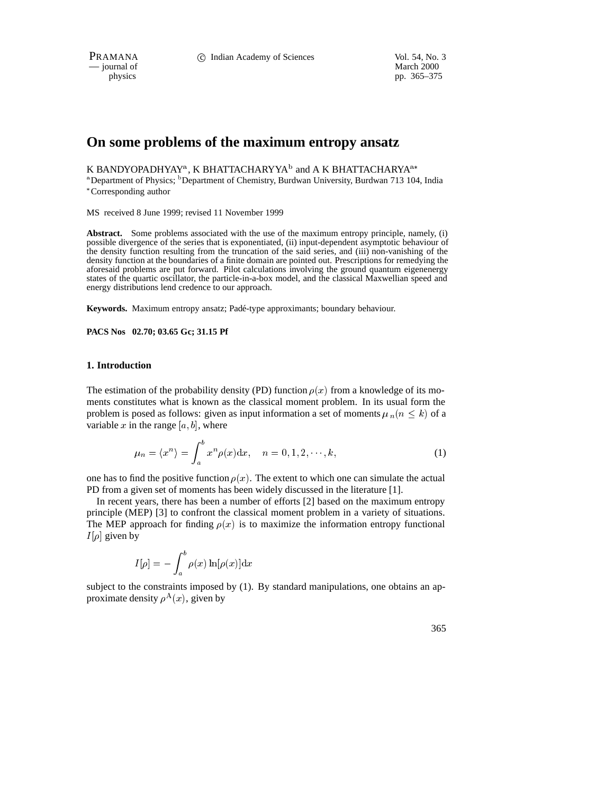PRAMANA 
<sup>c</sup> Indian Academy of Sciences Vol. 54, No. 3<br>
— journal of March 2000

 $\frac{1}{\text{p}}$  is physics

pp. 365–375

# **On some problems of the maximum entropy ansatz**

K BANDYOPADHYAY $^{\rm a}$ , K BHATTACHARYYA $^{\rm b}$  and A K BHATTACHARYA $^{\rm a*}$ 

<sup>a</sup> Department of Physics; <sup>b</sup> Department of Chemistry, Burdwan University, Burdwan 713 104, India Corresponding author

MS received 8 June 1999; revised 11 November 1999

**Abstract.** Some problems associated with the use of the maximum entropy principle, namely, (i) possible divergence of the series that is exponentiated, (ii) input-dependent asymptotic behaviour of the density function resulting from the truncation of the said series, and (iii) non-vanishing of the density function at the boundaries of a finite domain are pointed out. Prescriptions for remedying the aforesaid problems are put forward. Pilot calculations involving the ground quantum eigenenergy states of the quartic oscillator, the particle-in-a-box model, and the classical Maxwellian speed and energy distributions lend credence to our approach.

Keywords. Maximum entropy ansatz; Padé-type approximants; boundary behaviour.

**PACS Nos 02.70; 03.65 Gc; 31.15 Pf**

#### **1. Introduction**

The estimation of the probability density (PD) function  $\rho(x)$  from a knowledge of its moments constitutes what is known as the classical moment problem. In its usual form the problem is posed as follows: given as input information a set of moments  $\mu_n(n \leq k)$  of a variable x in the range  $[a, b]$ , where

$$
\mu_n = \langle x^n \rangle = \int_a^b x^n \rho(x) dx, \quad n = 0, 1, 2, \dots, k,
$$
 (1)

one has to find the positive function  $\rho(x)$ . The extent to which one can simulate the actual PD from a given set of moments has been widely discussed in the literature [1].

In recent years, there has been a number of efforts [2] based on the maximum entropy principle (MEP) [3] to confront the classical moment problem in a variety of situations. The MEP approach for finding  $\rho(x)$  is to maximize the information entropy functional  $I[\rho]$  given by

$$
I[\rho]=-\int_a^b\rho(x)\ln[\rho(x)]{\rm d}x
$$

subject to the constraints imposed by (1). By standard manipulations, one obtains an approximate density  $\rho^{A}(x)$ , given by

365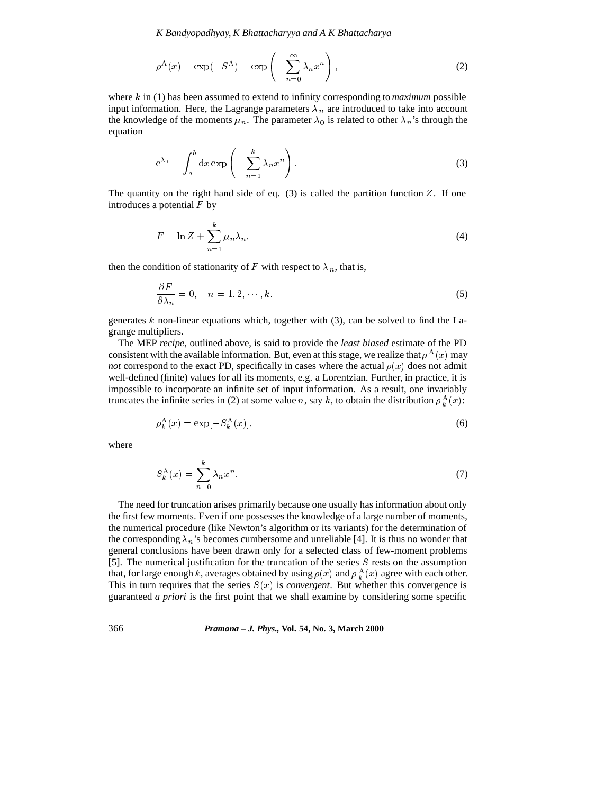*K Bandyopadhyay, K Bhattacharyya and A K Bhattacharya*

$$
\rho^{A}(x) = \exp(-S^{A}) = \exp\left(-\sum_{n=0}^{\infty} \lambda_{n} x^{n}\right),
$$
\n(2)

where <sup>k</sup> in (1) has been assumed to extend to infinity corresponding to *maximum* possible input information. Here, the Lagrange parameters  $\lambda_n$  are introduced to take into account the knowledge of the moments  $\mu_n$ . The parameter  $\lambda_0$  is related to other  $\lambda_n$ 's through the equation

$$
e^{\lambda_0} = \int_a^b dx \exp\left(-\sum_{n=1}^k \lambda_n x^n\right).
$$
 (3)

The quantity on the right hand side of eq.  $(3)$  is called the partition function Z. If one introduces a potential  $F$  by

$$
F = \ln Z + \sum_{n=1}^{k} \mu_n \lambda_n,
$$
\n<sup>(4)</sup>

then the condition of stationarity of F with respect to  $\lambda_n$ , that is,

$$
\frac{\partial F}{\partial \lambda_n} = 0, \quad n = 1, 2, \cdots, k,
$$
\n(5)

generates  $k$  non-linear equations which, together with (3), can be solved to find the Lagrange multipliers.

The MEP *recipe*, outlined above, is said to provide the *least biased* estimate of the PD consistent with the available information. But, even at this stage, we realize that  $\rho^{A}(x)$  may *not* correspond to the exact PD, specifically in cases where the actual  $\rho(x)$  does not admit well-defined (finite) values for all its moments, e.g. a Lorentzian. Further, in practice, it is impossible to incorporate an infinite set of input information. As a result, one invariably truncates the infinite series in (2) at some value n, say k, to obtain the distribution  $\rho_k^{\Lambda}(x)$ :

$$
\rho_k^{\mathbf{A}}(x) = \exp[-S_k^{\mathbf{A}}(x)],\tag{6}
$$

where

$$
S_k^{\mathcal{A}}(x) = \sum_{n=0}^{k} \lambda_n x^n. \tag{7}
$$

The need for truncation arises primarily because one usually has information about only the first few moments. Even if one possesses the knowledge of a large number of moments, the numerical procedure (like Newton's algorithm or its variants) for the determination of the corresponding  $\lambda_n$ 's becomes cumbersome and unreliable [4]. It is thus no wonder that general conclusions have been drawn only for a selected class of few-moment problems [5]. The numerical justification for the truncation of the series  $S$  rests on the assumption that, for large enough k, averages obtained by using  $\rho(x)$  and  $\rho_k^A(x)$  agree with each other. This in turn requires that the series  $S(x)$  is *convergent*. But whether this convergence is guaranteed *a priori* is the first point that we shall examine by considering some specific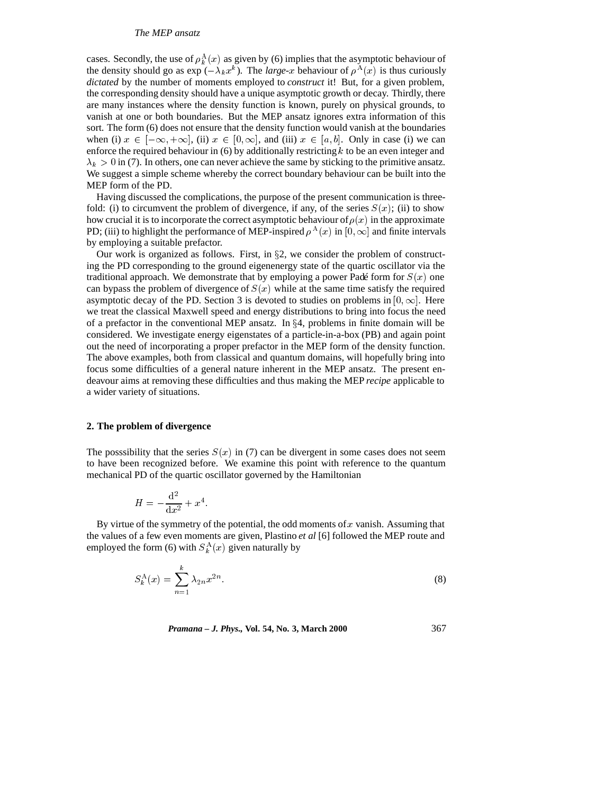### *The MEP ansatz*

cases. Secondly, the use of  $\rho_k^{\mathbf{A}}(x)$  as given by (6) implies that the asymptotic behaviour of the density should go as  $\exp(-\lambda_k x^k)$ . The *large-x* behaviour of  $\rho^{A}(x)$  is thus curiously *dictated* by the number of moments employed to *construct* it! But, for a given problem, the corresponding density should have a unique asymptotic growth or decay. Thirdly, there are many instances where the density function is known, purely on physical grounds, to vanish at one or both boundaries. But the MEP ansatz ignores extra information of this sort. The form (6) does not ensure that the density function would vanish at the boundaries when (i)  $x \in [-\infty, +\infty]$ , (ii)  $x \in [0, \infty]$ , and (iii)  $x \in [a, b]$ . Only in case (i) we can enforce the required behaviour in  $(6)$  by additionally restricting k to be an even integer and  $\lambda_k > 0$  in (7). In others, one can never achieve the same by sticking to the primitive ansatz. We suggest a simple scheme whereby the correct boundary behaviour can be built into the MEP form of the PD.

Having discussed the complications, the purpose of the present communication is threefold: (i) to circumvent the problem of divergence, if any, of the series  $S(x)$ ; (ii) to show how crucial it is to incorporate the correct asymptotic behaviour of  $\rho(x)$  in the approximate PD; (iii) to highlight the performance of MEP-inspired  $\rho^{A}(x)$  in  $[0, \infty]$  and finite intervals by employing a suitable prefactor.

Our work is organized as follows. First, in  $\S2$ , we consider the problem of constructing the PD corresponding to the ground eigenenergy state of the quartic oscillator via the traditional approach. We demonstrate that by employing a power Padé form for  $S(x)$  one can bypass the problem of divergence of  $S(x)$  while at the same time satisfy the required asymptotic decay of the PD. Section 3 is devoted to studies on problems in  $[0, \infty]$ . Here we treat the classical Maxwell speed and energy distributions to bring into focus the need of a prefactor in the conventional MEP ansatz. In  $\S 4$ , problems in finite domain will be considered. We investigate energy eigenstates of a particle-in-a-box (PB) and again point out the need of incorporating a proper prefactor in the MEP form of the density function. The above examples, both from classical and quantum domains, will hopefully bring into focus some difficulties of a general nature inherent in the MEP ansatz. The present endeavour aims at removing these difficulties and thus making the MEP *recipe* applicable to a wider variety of situations.

### **2. The problem of divergence**

The posssibility that the series  $S(x)$  in (7) can be divergent in some cases does not seem to have been recognized before. We examine this point with reference to the quantum mechanical PD of the quartic oscillator governed by the Hamiltonian

$$
H = -\frac{\mathrm{d}^2}{\mathrm{d}x^2} + x^4.
$$

By virtue of the symmetry of the potential, the odd moments of  $x$  vanish. Assuming that the values of a few even moments are given, Plastino *et al* [6] followed the MEP route and employed the form (6) with  $S_k^{\text{A}}(x)$  given naturally by

$$
S_k^{\mathcal{A}}(x) = \sum_{n=1}^k \lambda_{2n} x^{2n}.
$$
 (8)

*Pramana – J. Phys.,* **Vol. 54, No. 3, March 2000** 367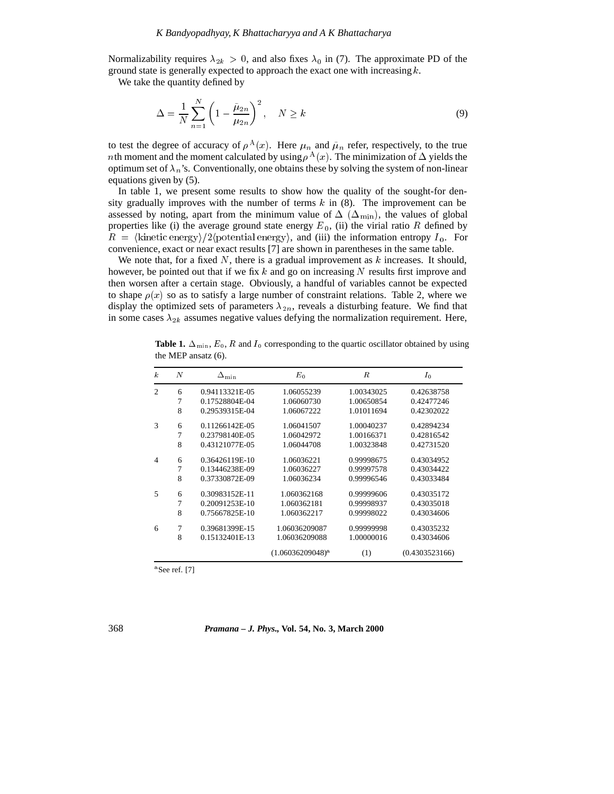Normalizability requires  $\lambda_{2k} > 0$ , and also fixes  $\lambda_0$  in (7). The approximate PD of the ground state is generally expected to approach the exact one with increasing  $k$ .

We take the quantity defined by

$$
\Delta = \frac{1}{N} \sum_{n=1}^{N} \left( 1 - \frac{\tilde{\mu}_{2n}}{\mu_{2n}} \right)^2, \quad N \ge k \tag{9}
$$

to test the degree of accuracy of  $\rho^{A}(x)$ . Here  $\mu_n$  and  $\tilde{\mu}_n$  refer, respectively, to the true *nth* moment and the moment calculated by using  $\rho^{A}(x)$ . The minimization of  $\Delta$  yields the optimum set of  $\lambda_n$ 's. Conventionally, one obtains these by solving the system of non-linear equations given by (5).

In table 1, we present some results to show how the quality of the sought-for density gradually improves with the number of terms  $k$  in  $(8)$ . The improvement can be assessed by noting, apart from the minimum value of  $\Delta$  ( $\Delta$ <sub>min</sub>), the values of global properties like (i) the average ground state energy  $E_0$ , (ii) the virial ratio R defined by  $R = \langle$ kinetic energy $\rangle/2$ (potential energy), and (iii) the information entropy  $I_0$ . For convenience, exact or near exact results [7] are shown in parentheses in the same table.

We note that, for a fixed  $N$ , there is a gradual improvement as  $k$  increases. It should, however, be pointed out that if we fix k and go on increasing  $N$  results first improve and then worsen after a certain stage. Obviously, a handful of variables cannot be expected to shape  $\rho(x)$  so as to satisfy a large number of constraint relations. Table 2, where we display the optimized sets of parameters  $\lambda_{2n}$ , reveals a disturbing feature. We find that in some cases  $\lambda_{2k}$  assumes negative values defying the normalization requirement. Here,

| $\boldsymbol{k}$         | $\overline{N}$ | $\Delta_{\min}$ | $E_0$               | R          | $I_0$          |
|--------------------------|----------------|-----------------|---------------------|------------|----------------|
| $\overline{c}$           | 6              | 0.94113321E-05  | 1.06055239          | 1.00343025 | 0.42638758     |
|                          | 7              | 0.17528804E-04  | 1.06060730          | 1.00650854 | 0.42477246     |
|                          | 8              | 0.29539315E-04  | 1.06067222          | 1.01011694 | 0.42302022     |
| $\mathcal{R}$            | 6              | 0.11266142E-05  | 1.06041507          | 1.00040237 | 0.42894234     |
|                          | $\overline{7}$ | 0.23798140E-05  | 1.06042972          | 1.00166371 | 0.42816542     |
|                          | 8              | 0.43121077E-05  | 1.06044708          | 1.00323848 | 0.42731520     |
| $\overline{4}$           | 6              | 0.36426119E-10  | 1.06036221          | 0.99998675 | 0.43034952     |
|                          | 7              | 0.13446238E-09  | 1.06036227          | 0.99997578 | 0.43034422     |
|                          | 8              | 0.37330872E-09  | 1.06036234          | 0.99996546 | 0.43033484     |
| $\overline{\phantom{1}}$ | 6              | 0.30983152E-11  | 1.060362168         | 0.99999606 | 0.43035172     |
|                          | $\overline{7}$ | 0.20091253E-10  | 1.060362181         | 0.99998937 | 0.43035018     |
|                          | 8              | 0.75667825E-10  | 1.060362217         | 0.99998022 | 0.43034606     |
| 6                        | 7              | 0.39681399E-15  | 1.06036209087       | 0.99999998 | 0.43035232     |
|                          | 8              | 0.15132401E-13  | 1.06036209088       | 1.00000016 | 0.43034606     |
|                          |                |                 | $(1.06036209048)^a$ | (1)        | (0.4303523166) |

**Table 1.**  $\Delta_{\text{min}}$ ,  $E_0$ , R and  $I_0$  corresponding to the quartic oscillator obtained by using the MEP ansatz (6).

a See ref. [7]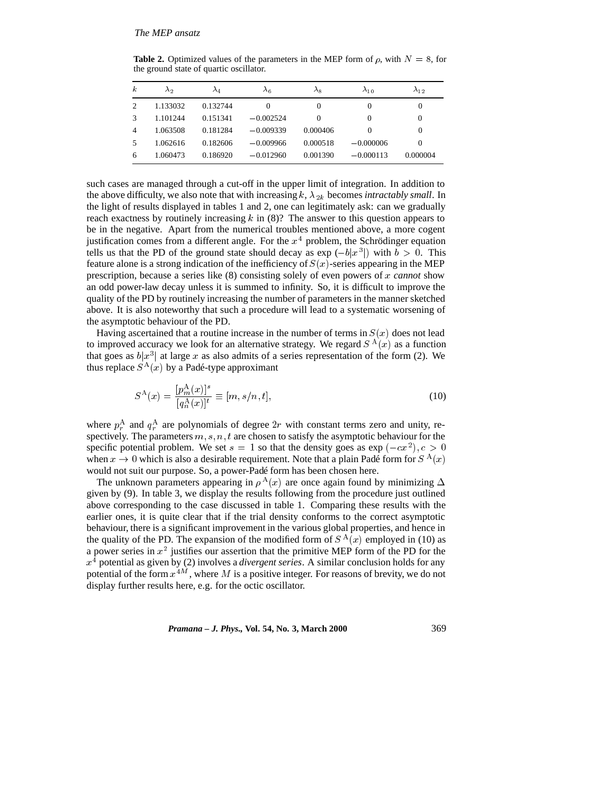**Table 2.** Optimized values of the parameters in the MEP form of  $\rho$ , with  $N = 8$ , for the ground state of quartic oscillator.

| $\boldsymbol{k}$ | $\lambda_2$ | $\lambda_4$ | $\lambda_6$ | $\lambda_8$ | $\lambda_{10}$ | $\lambda_{12}$ |
|------------------|-------------|-------------|-------------|-------------|----------------|----------------|
| 2                | 1.133032    | 0.132744    | $\Omega$    | $\Omega$    | $\Omega$       | 0              |
|                  | 1.101244    | 0.151341    | $-0.002524$ | $\Omega$    | $\Omega$       | $\Omega$       |
| 4                | 1.063508    | 0.181284    | $-0.009339$ | 0.000406    | $\Omega$       | $\Omega$       |
|                  | 1.062616    | 0.182606    | $-0.009966$ | 0.000518    | $-0.000006$    | $\Omega$       |
| 6                | 1.060473    | 0.186920    | $-0.012960$ | 0.001390    | $-0.000113$    | 0.000004       |

such cases are managed through a cut-off in the upper limit of integration. In addition to the above difficulty, we also note that with increasing  $k$ ,  $\lambda_{2k}$  becomes *intractably small*. In the light of results displayed in tables 1 and 2, one can legitimately ask: can we gradually reach exactness by routinely increasing  $k$  in (8)? The answer to this question appears to be in the negative. Apart from the numerical troubles mentioned above, a more cogent justification comes from a different angle. For the  $x<sup>4</sup>$  problem, the Schrödinger equation tells us that the PD of the ground state should decay as  $\exp(-b|x^3|)$  with  $b > 0$ . This feature alone is a strong indication of the inefficiency of  $S(x)$ -series appearing in the MEP prescription, because a series like (8) consisting solely of even powers of <sup>x</sup> *cannot* show an odd power-law decay unless it is summed to infinity. So, it is difficult to improve the quality of the PD by routinely increasing the number of parameters in the manner sketched above. It is also noteworthy that such a procedure will lead to a systematic worsening of the asymptotic behaviour of the PD.

Having ascertained that a routine increase in the number of terms in  $S(x)$  does not lead to improved accuracy we look for an alternative strategy. We regard  $S^{A}(x)$  as a function that goes as  $b|x^3|$  at large x as also admits of a series representation of the form (2). We thus replace  $S^{\mathcal{A}}(x)$  by a Padé-type approximant

$$
S^{\mathcal{A}}(x) = \frac{[p_m^{\mathcal{A}}(x)]^s}{[q_n^{\mathcal{A}}(x)]^t} \equiv [m, s/n, t],
$$
\n(10)

where  $p_r^{\rm A}$  and  $q_r^{\rm A}$  are polynomials of degree  $2r$  with constant terms zero and unity, respectively. The parameters  $m, s, n, t$  are chosen to satisfy the asymptotic behaviour for the specific potential problem. We set  $s = 1$  so that the density goes as  $\exp(-cx^2), c > 0$ when  $x \to 0$  which is also a desirable requirement. Note that a plain Padé form for  $S^{\Lambda}(x)$ would not suit our purpose. So, a power-Padé form has been chosen here.

The unknown parameters appearing in  $\rho^{A}(x)$  are once again found by minimizing  $\Delta$ given by (9). In table 3, we display the results following from the procedure just outlined above corresponding to the case discussed in table 1. Comparing these results with the earlier ones, it is quite clear that if the trial density conforms to the correct asymptotic behaviour, there is a significant improvement in the various global properties, and hence in the quality of the PD. The expansion of the modified form of  $S<sup>A</sup>(x)$  employed in (10) as a power series in  $x^2$  justifies our assertion that the primitive MEP form of the PD for the  $x<sup>4</sup>$  potential as given by (2) involves a *divergent series*. A similar conclusion holds for any potential of the form  $x^{4M}$ , where M is a positive integer. For reasons of brevity, we do not display further results here, e.g. for the octic oscillator.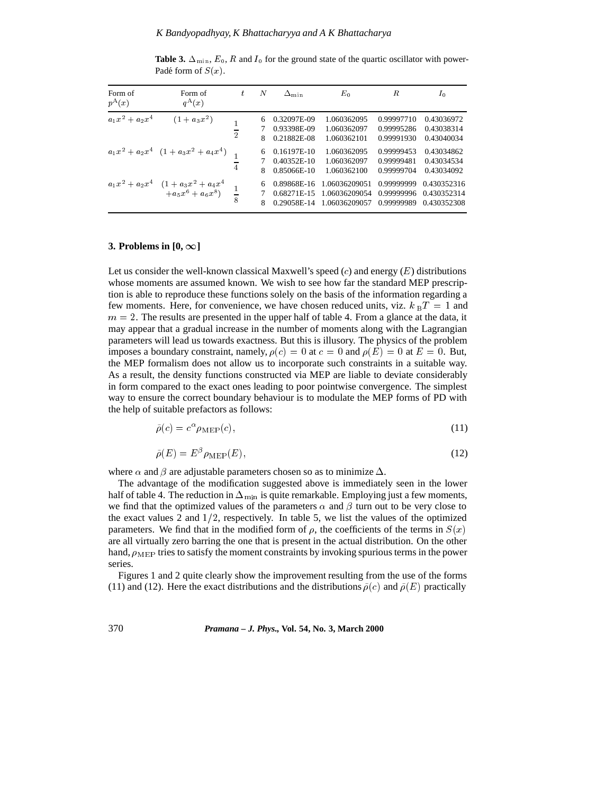| Form of<br>$p^{A}(x)$ | Form of<br>$q^{A}(x)$                                            | ŧ                         | N      | $\Delta_{\min}$                             | $E_0$                                           | R                                      | $I_0$                                     |
|-----------------------|------------------------------------------------------------------|---------------------------|--------|---------------------------------------------|-------------------------------------------------|----------------------------------------|-------------------------------------------|
| $a_1x^2 + a_2x^4$     | $(1 + a_3x^2)$                                                   | $\overline{\overline{2}}$ | 6<br>8 | 0.32097E-09<br>0.93398E-09<br>0.21882E-08   | 1.060362095<br>1.060362097<br>1.060362101       | 0.99997710<br>0.99995286<br>0.99991930 | 0.43036972<br>0.43038314<br>0.43040034    |
|                       | $a_1x^2 + a_2x^4$ $(1 + a_3x^2 + a_4x^4)$                        | $\overline{4}$            | 6<br>8 | 0.16197E-10<br>$0.40352E-10$<br>0.85066E-10 | 1.060362095<br>1.060362097<br>1.060362100       | 0.99999453<br>0.99999481<br>0.99999704 | 0.43034862<br>0.43034534<br>0.43034092    |
|                       | $a_1x^2 + a_2x^4$ $(1 + a_3x^2 + a_4x^4$<br>$+ a_5x^6 + a_6x^8)$ | $\frac{1}{8}$             | 6<br>8 | 0.89868E-16<br>0.68271E-15<br>0.29058E-14   | 1.06036209051<br>1.06036209054<br>1.06036209057 | 0.99999999<br>0.99999996<br>0.99999989 | 0.430352316<br>0.430352314<br>0.430352308 |

**Table 3.**  $\Delta_{\text{min}}$ ,  $E_0$ , R and  $I_0$  for the ground state of the quartic oscillator with power-Padé form of  $S(x)$ .

### **3. Problems in**  $[0, \infty]$

Let us consider the well-known classical Maxwell's speed  $(c)$  and energy  $(E)$  distributions whose moments are assumed known. We wish to see how far the standard MEP prescription is able to reproduce these functions solely on the basis of the information regarding a few moments. Here, for convenience, we have chosen reduced units, viz.  $k_B T = 1$  and  $m = 2$ . The results are presented in the upper half of table 4. From a glance at the data, it may appear that a gradual increase in the number of moments along with the Lagrangian parameters will lead us towards exactness. But this is illusory. The physics of the problem imposes a boundary constraint, namely,  $\rho(c)=0$  at  $c=0$  and  $\rho(E)=0$  at  $E=0$ . But, the MEP formalism does not allow us to incorporate such constraints in a suitable way. As a result, the density functions constructed via MEP are liable to deviate considerably in form compared to the exact ones leading to poor pointwise convergence. The simplest way to ensure the correct boundary behaviour is to modulate the MEP forms of PD with the help of suitable prefactors as follows:

$$
\tilde{\rho}(c) = c^{\alpha} \rho_{\text{MEP}}(c),\tag{11}
$$

$$
\tilde{\rho}(E) = E^{\beta} \rho_{\text{MEP}}(E),\tag{12}
$$

where  $\alpha$  and  $\beta$  are adjustable parameters chosen so as to minimize  $\Delta$ .

The advantage of the modification suggested above is immediately seen in the lower half of table 4. The reduction in  $\Delta_{\text{min}}$  is quite remarkable. Employing just a few moments, we find that the optimized values of the parameters  $\alpha$  and  $\beta$  turn out to be very close to the exact values 2 and  $1/2$ , respectively. In table 5, we list the values of the optimized parameters. We find that in the modified form of  $\rho$ , the coefficients of the terms in  $S(x)$ are all virtually zero barring the one that is present in the actual distribution. On the other hand,  $\rho_{\text{MEP}}$  tries to satisfy the moment constraints by invoking spurious terms in the power series.

Figures 1 and 2 quite clearly show the improvement resulting from the use of the forms (11) and (12). Here the exact distributions and the distributions  $\tilde{\rho}(c)$  and  $\tilde{\rho}(E)$  practically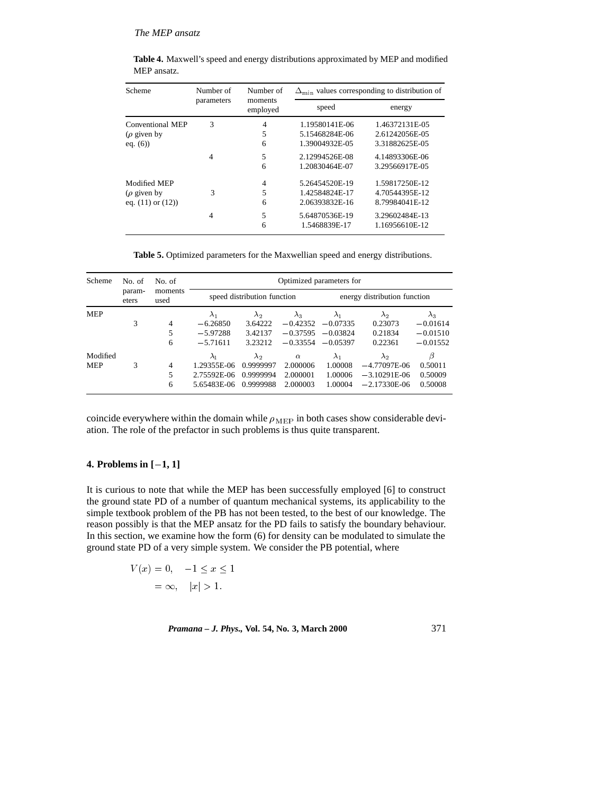| Scheme                 | Number of  | Number of           | $\Delta_{\min}$ values corresponding to distribution of |                                  |  |  |
|------------------------|------------|---------------------|---------------------------------------------------------|----------------------------------|--|--|
|                        | parameters | moments<br>employed | speed                                                   | energy                           |  |  |
| Conventional MEP       | 3          | $\overline{4}$      | 1.19580141E-06                                          | 1.46372131E-05                   |  |  |
| ( $\rho$ given by      |            | 5                   | 5.15468284E-06                                          | 2.61242056E-05                   |  |  |
| eq. $(6)$              |            | 6                   | 1.39004932E-05                                          | 3.31882625E-05                   |  |  |
|                        | 4          | 5                   | 2.12994526E-08                                          | 4.14893306E-06                   |  |  |
|                        |            | 6                   | 1.20830464E-07                                          | 3.29566917E-05                   |  |  |
| Modified MEP           |            | 4                   | 5.26454520E-19                                          | 1.59817250E-12                   |  |  |
| ( $\rho$ given by      | 3          | 5                   | 1.42584824E-17                                          | 4.70544395E-12                   |  |  |
| eq. $(11)$ or $(12)$ ) |            | 6                   | 2.06393832E-16                                          | 8.79984041E-12                   |  |  |
|                        | 4          | 5<br>6              | 5.64870536E-19<br>1.5468839E-17                         | 3.29602484E-13<br>1.16956610E-12 |  |  |

**Table 4.** Maxwell's speed and energy distributions approximated by MEP and modified MEP ansatz.

**Table 5.** Optimized parameters for the Maxwellian speed and energy distributions.

| Scheme     | No. of          | No. of<br>moments<br>used | Optimized parameters for |                             |             |             |                              |             |  |
|------------|-----------------|---------------------------|--------------------------|-----------------------------|-------------|-------------|------------------------------|-------------|--|
|            | param-<br>eters |                           |                          | speed distribution function |             |             | energy distribution function |             |  |
| <b>MEP</b> |                 |                           | $\lambda_1$              | $\lambda_2$                 | $\lambda_3$ | $\lambda_1$ | $\lambda_2$                  | $\lambda_3$ |  |
|            | 3               | 4                         | $-6.26850$               | 3.64222                     | $-0.42352$  | $-0.07335$  | 0.23073                      | $-0.01614$  |  |
|            |                 | 5                         | $-5.97288$               | 3.42137                     | $-0.37595$  | $-0.03824$  | 0.21834                      | $-0.01510$  |  |
|            |                 | 6                         | $-5.71611$               | 3.23212                     | $-0.33554$  | $-0.05397$  | 0.22361                      | $-0.01552$  |  |
| Modified   |                 |                           | $\lambda_1$              | $\lambda_2$                 | $\alpha$    | $\lambda_1$ | $\lambda_2$                  | β           |  |
| <b>MEP</b> | 3               | 4                         | 1.29355E-06              | 0.9999997                   | 2.000006    | 1.00008     | $-4.77097E-06$               | 0.50011     |  |
|            |                 | 5                         | 2.75592E-06              | 0.9999994                   | 2.000001    | 1.00006     | $-3.10291E-06$               | 0.50009     |  |
|            |                 | 6                         | 5.65483E-06              | 0.9999988                   | 2.000003    | 1.00004     | $-2.17330E-06$               | 0.50008     |  |

coincide everywhere within the domain while  $\rho_{\text{MEP}}$  in both cases show considerable deviation. The role of the prefactor in such problems is thus quite transparent.

### **4. Problems in**  $[-1, 1]$

It is curious to note that while the MEP has been successfully employed [6] to construct the ground state PD of a number of quantum mechanical systems, its applicability to the simple textbook problem of the PB has not been tested, to the best of our knowledge. The reason possibly is that the MEP ansatz for the PD fails to satisfy the boundary behaviour. In this section, we examine how the form (6) for density can be modulated to simulate the ground state PD of a very simple system. We consider the PB potential, where

> $V(x)=0, -1 \leq x \leq 1$ = 1; jxj <sup>&</sup>gt; 1:

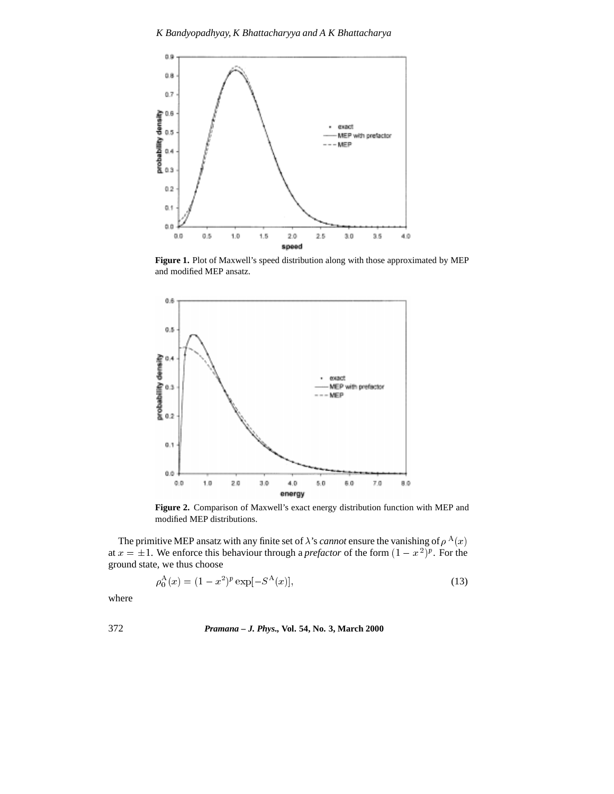

**Figure 1.** Plot of Maxwell's speed distribution along with those approximated by MEP and modified MEP ansatz.



**Figure 2.** Comparison of Maxwell's exact energy distribution function with MEP and modified MEP distributions.

The primitive MEP ansatz with any finite set of  $\lambda$ 's *cannot* ensure the vanishing of  $\rho^{A}(x)$ at  $x = \pm 1$ . We enforce this behaviour through a *prefactor* of the form  $(1 - x^2)^p$ . For the ground state, we thus choose

$$
\rho_0^{\mathcal{A}}(x) = (1 - x^2)^p \exp[-S^{\mathcal{A}}(x)],\tag{13}
$$

where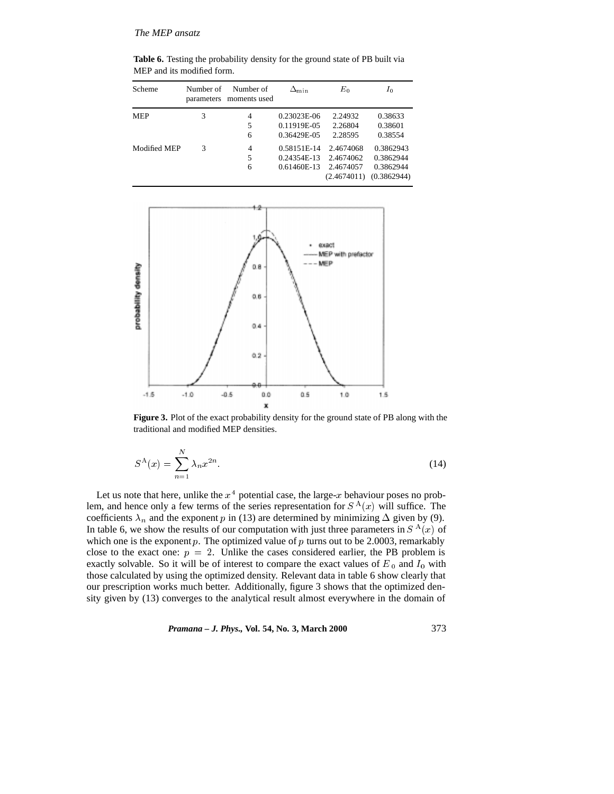Table 6. Testing the probability density for the ground state of PB built via MEP and its modified form.

| Scheme       | Number of | Number of<br>parameters moments used | $\Delta_{\min}$ | $E_0$       | $I_0$       |
|--------------|-----------|--------------------------------------|-----------------|-------------|-------------|
| <b>MEP</b>   | 3         | 4                                    | 0.23023E-06     | 2.24932     | 0.38633     |
|              |           | 5                                    | 0.11919E-05     | 2.26804     | 0.38601     |
|              |           | 6                                    | 0.36429E-05     | 2.28595     | 0.38554     |
| Modified MEP | 3         | $\overline{4}$                       | 0.58151E-14     | 2.4674068   | 0.3862943   |
|              |           | 5                                    | 0.24354E-13     | 2.4674062   | 0.3862944   |
|              |           | 6                                    | 0.61460E-13     | 2.4674057   | 0.3862944   |
|              |           |                                      |                 | (2.4674011) | (0.3862944) |



**Figure 3.** Plot of the exact probability density for the ground state of PB along with the traditional and modified MEP densities.

$$
S^{\mathcal{A}}(x) = \sum_{n=1}^{N} \lambda_n x^{2n}.
$$
\n
$$
(14)
$$

Let us note that here, unlike the  $x^4$  potential case, the large-x behaviour poses no problem, and hence only a few terms of the series representation for  $S^{A}(x)$  will suffice. The coefficients  $\lambda_n$  and the exponent p in (13) are determined by minimizing  $\Delta$  given by (9). In table 6, we show the results of our computation with just three parameters in  $S<sup>A</sup>(x)$  of which one is the exponent  $p$ . The optimized value of  $p$  turns out to be 2.0003, remarkably close to the exact one:  $p = 2$ . Unlike the cases considered earlier, the PB problem is exactly solvable. So it will be of interest to compare the exact values of  $E_0$  and  $I_0$  with those calculated by using the optimized density. Relevant data in table 6 show clearly that our prescription works much better. Additionally, figure 3 shows that the optimized density given by (13) converges to the analytical result almost everywhere in the domain of

*Pramana – J. Phys.,* **Vol. 54, No. 3, March 2000** 373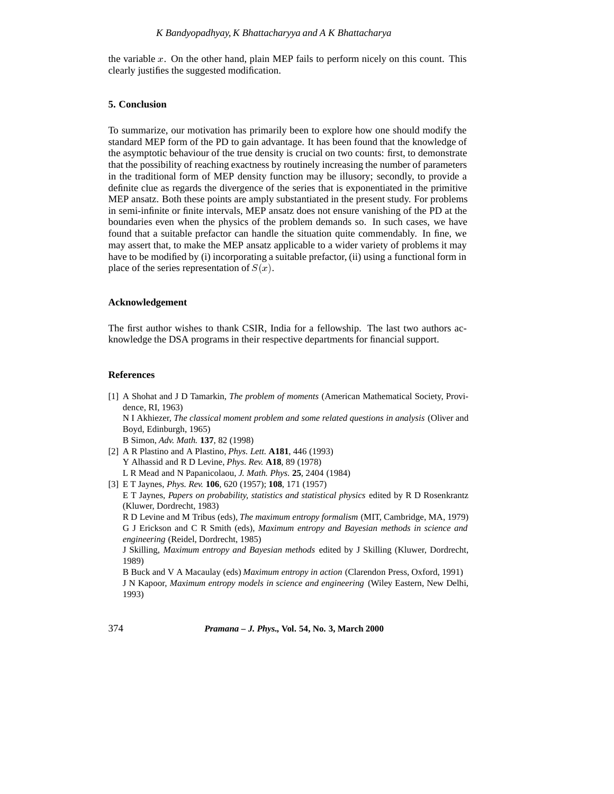the variable  $x$ . On the other hand, plain MEP fails to perform nicely on this count. This clearly justifies the suggested modification.

### **5. Conclusion**

To summarize, our motivation has primarily been to explore how one should modify the standard MEP form of the PD to gain advantage. It has been found that the knowledge of the asymptotic behaviour of the true density is crucial on two counts: first, to demonstrate that the possibility of reaching exactness by routinely increasing the number of parameters in the traditional form of MEP density function may be illusory; secondly, to provide a definite clue as regards the divergence of the series that is exponentiated in the primitive MEP ansatz. Both these points are amply substantiated in the present study. For problems in semi-infinite or finite intervals, MEP ansatz does not ensure vanishing of the PD at the boundaries even when the physics of the problem demands so. In such cases, we have found that a suitable prefactor can handle the situation quite commendably. In fine, we may assert that, to make the MEP ansatz applicable to a wider variety of problems it may have to be modified by (i) incorporating a suitable prefactor, (ii) using a functional form in place of the series representation of  $S(x)$ .

#### **Acknowledgement**

The first author wishes to thank CSIR, India for a fellowship. The last two authors acknowledge the DSA programs in their respective departments for financial support.

### **References**

- [1] A Shohat and J D Tamarkin, *The problem of moments* (American Mathematical Society, Providence, RI, 1963) N I Akhiezer, *The classical moment problem and some related questions in analysis* (Oliver and Boyd, Edinburgh, 1965) B Simon, *Adv. Math.* **137**, 82 (1998)
- [2] A R Plastino and A Plastino, *Phys. Lett.* **A181**, 446 (1993) Y Alhassid and R D Levine, *Phys. Rev.* **A18**, 89 (1978) L R Mead and N Papanicolaou, *J. Math. Phys.* **25**, 2404 (1984)
- [3] E T Jaynes, *Phys. Rev.* **106**, 620 (1957); **108**, 171 (1957)

E T Jaynes, *Papers on probability, statistics and statistical physics* edited by R D Rosenkrantz (Kluwer, Dordrecht, 1983)

R D Levine and M Tribus (eds), *The maximum entropy formalism* (MIT, Cambridge, MA, 1979) G J Erickson and C R Smith (eds), *Maximum entropy and Bayesian methods in science and engineering* (Reidel, Dordrecht, 1985)

J Skilling, *Maximum entropy and Bayesian methods* edited by J Skilling (Kluwer, Dordrecht, 1989)

B Buck and V A Macaulay (eds) *Maximum entropy in action* (Clarendon Press, Oxford, 1991) J N Kapoor, *Maximum entropy models in science and engineering* (Wiley Eastern, New Delhi, 1993)